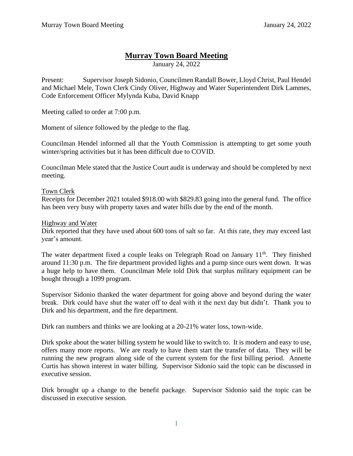# **Murray Town Board Meeting**

January 24, 2022

Present: Supervisor Joseph Sidonio, Councilmen Randall Bower, Lloyd Christ, Paul Hendel and Michael Mele, Town Clerk Cindy Oliver, Highway and Water Superintendent Dirk Lammes, Code Enforcement Officer Mylynda Kuba, David Knapp

Meeting called to order at 7:00 p.m.

Moment of silence followed by the pledge to the flag.

Councilman Hendel informed all that the Youth Commission is attempting to get some youth winter/spring activities but it has been difficult due to COVID.

Councilman Mele stated that the Justice Court audit is underway and should be completed by next meeting.

## Town Clerk

Receipts for December 2021 totaled \$918.00 with \$829.83 going into the general fund. The office has been very busy with property taxes and water bills due by the end of the month.

#### Highway and Water

Dirk reported that they have used about 600 tons of salt so far. At this rate, they may exceed last year's amount.

The water department fixed a couple leaks on Telegraph Road on January  $11<sup>th</sup>$ . They finished around 11:30 p.m. The fire department provided lights and a pump since ours went down. It was a huge help to have them. Councilman Mele told Dirk that surplus military equipment can be bought through a 1099 program.

Supervisor Sidonio thanked the water department for going above and beyond during the water break. Dirk could have shut the water off to deal with it the next day but didn't. Thank you to Dirk and his department, and the fire department.

Dirk ran numbers and thinks we are looking at a 20-21% water loss, town-wide.

Dirk spoke about the water billing system he would like to switch to. It is modern and easy to use, offers many more reports. We are ready to have them start the transfer of data. They will be running the new program along side of the current system for the first billing period. Annette Curtis has shown interest in water billing. Supervisor Sidonio said the topic can be discussed in executive session.

Dirk brought up a change to the benefit package. Supervisor Sidonio said the topic can be discussed in executive session.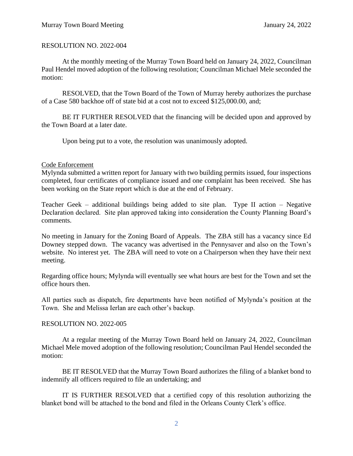## RESOLUTION NO. 2022-004

At the monthly meeting of the Murray Town Board held on January 24, 2022, Councilman Paul Hendel moved adoption of the following resolution; Councilman Michael Mele seconded the motion:

RESOLVED, that the Town Board of the Town of Murray hereby authorizes the purchase of a Case 580 backhoe off of state bid at a cost not to exceed \$125,000.00, and;

BE IT FURTHER RESOLVED that the financing will be decided upon and approved by the Town Board at a later date.

Upon being put to a vote, the resolution was unanimously adopted.

## Code Enforcement

Mylynda submitted a written report for January with two building permits issued, four inspections completed, four certificates of compliance issued and one complaint has been received. She has been working on the State report which is due at the end of February.

Teacher Geek – additional buildings being added to site plan. Type II action – Negative Declaration declared. Site plan approved taking into consideration the County Planning Board's comments.

No meeting in January for the Zoning Board of Appeals. The ZBA still has a vacancy since Ed Downey stepped down. The vacancy was advertised in the Pennysaver and also on the Town's website. No interest yet. The ZBA will need to vote on a Chairperson when they have their next meeting.

Regarding office hours; Mylynda will eventually see what hours are best for the Town and set the office hours then.

All parties such as dispatch, fire departments have been notified of Mylynda's position at the Town. She and Melissa Ierlan are each other's backup.

## RESOLUTION NO. 2022-005

At a regular meeting of the Murray Town Board held on January 24, 2022, Councilman Michael Mele moved adoption of the following resolution; Councilman Paul Hendel seconded the motion:

BE IT RESOLVED that the Murray Town Board authorizes the filing of a blanket bond to indemnify all officers required to file an undertaking; and

IT IS FURTHER RESOLVED that a certified copy of this resolution authorizing the blanket bond will be attached to the bond and filed in the Orleans County Clerk's office.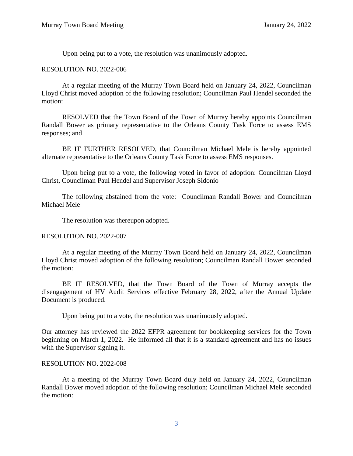Upon being put to a vote, the resolution was unanimously adopted.

#### RESOLUTION NO. 2022-006

At a regular meeting of the Murray Town Board held on January 24, 2022, Councilman Lloyd Christ moved adoption of the following resolution; Councilman Paul Hendel seconded the motion:

RESOLVED that the Town Board of the Town of Murray hereby appoints Councilman Randall Bower as primary representative to the Orleans County Task Force to assess EMS responses; and

BE IT FURTHER RESOLVED, that Councilman Michael Mele is hereby appointed alternate representative to the Orleans County Task Force to assess EMS responses.

Upon being put to a vote, the following voted in favor of adoption: Councilman Lloyd Christ, Councilman Paul Hendel and Supervisor Joseph Sidonio

The following abstained from the vote: Councilman Randall Bower and Councilman Michael Mele

The resolution was thereupon adopted.

## RESOLUTION NO. 2022-007

At a regular meeting of the Murray Town Board held on January 24, 2022, Councilman Lloyd Christ moved adoption of the following resolution; Councilman Randall Bower seconded the motion:

BE IT RESOLVED, that the Town Board of the Town of Murray accepts the disengagement of HV Audit Services effective February 28, 2022, after the Annual Update Document is produced.

Upon being put to a vote, the resolution was unanimously adopted.

Our attorney has reviewed the 2022 EFPR agreement for bookkeeping services for the Town beginning on March 1, 2022. He informed all that it is a standard agreement and has no issues with the Supervisor signing it.

#### RESOLUTION NO. 2022-008

At a meeting of the Murray Town Board duly held on January 24, 2022, Councilman Randall Bower moved adoption of the following resolution; Councilman Michael Mele seconded the motion: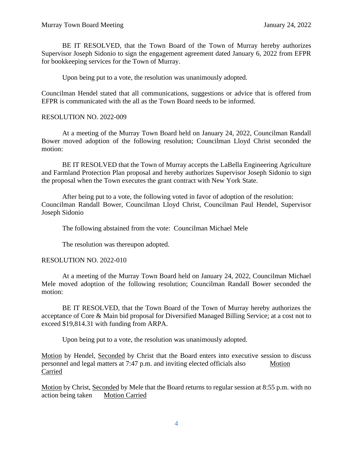BE IT RESOLVED, that the Town Board of the Town of Murray hereby authorizes Supervisor Joseph Sidonio to sign the engagement agreement dated January 6, 2022 from EFPR for bookkeeping services for the Town of Murray.

Upon being put to a vote, the resolution was unanimously adopted.

Councilman Hendel stated that all communications, suggestions or advice that is offered from EFPR is communicated with the all as the Town Board needs to be informed.

#### RESOLUTION NO. 2022-009

At a meeting of the Murray Town Board held on January 24, 2022, Councilman Randall Bower moved adoption of the following resolution; Councilman Lloyd Christ seconded the motion:

BE IT RESOLVED that the Town of Murray accepts the LaBella Engineering Agriculture and Farmland Protection Plan proposal and hereby authorizes Supervisor Joseph Sidonio to sign the proposal when the Town executes the grant contract with New York State.

After being put to a vote, the following voted in favor of adoption of the resolution: Councilman Randall Bower, Councilman Lloyd Christ, Councilman Paul Hendel, Supervisor Joseph Sidonio

The following abstained from the vote: Councilman Michael Mele

The resolution was thereupon adopted.

#### RESOLUTION NO. 2022-010

At a meeting of the Murray Town Board held on January 24, 2022, Councilman Michael Mele moved adoption of the following resolution; Councilman Randall Bower seconded the motion:

BE IT RESOLVED, that the Town Board of the Town of Murray hereby authorizes the acceptance of Core & Main bid proposal for Diversified Managed Billing Service; at a cost not to exceed \$19,814.31 with funding from ARPA.

Upon being put to a vote, the resolution was unanimously adopted.

Motion by Hendel, Seconded by Christ that the Board enters into executive session to discuss personnel and legal matters at 7:47 p.m. and inviting elected officials also Motion Carried

Motion by Christ, Seconded by Mele that the Board returns to regular session at 8:55 p.m. with no action being taken Motion Carried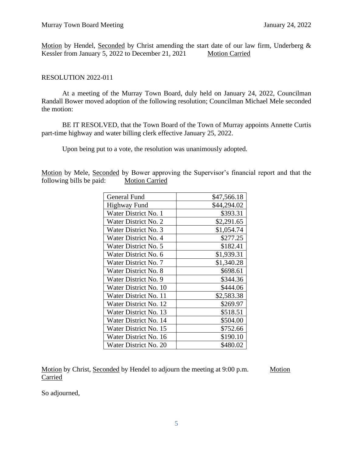Motion by Hendel, Seconded by Christ amending the start date of our law firm, Underberg & Kessler from January 5, 2022 to December 21, 2021 Motion Carried

## RESOLUTION 2022-011

At a meeting of the Murray Town Board, duly held on January 24, 2022, Councilman Randall Bower moved adoption of the following resolution; Councilman Michael Mele seconded the motion:

BE IT RESOLVED, that the Town Board of the Town of Murray appoints Annette Curtis part-time highway and water billing clerk effective January 25, 2022.

Upon being put to a vote, the resolution was unanimously adopted.

Motion by Mele, Seconded by Bower approving the Supervisor's financial report and that the following bills be paid: Motion Carried

| General Fund                | \$47,566.18 |
|-----------------------------|-------------|
| <b>Highway Fund</b>         | \$44,294.02 |
| Water District No. 1        | \$393.31    |
| <b>Water District No. 2</b> | \$2,291.65  |
| <b>Water District No. 3</b> | \$1,054.74  |
| Water District No. 4        | \$277.25    |
| Water District No. 5        | \$182.41    |
| Water District No. 6        | \$1,939.31  |
| Water District No. 7        | \$1,340.28  |
| <b>Water District No. 8</b> | \$698.61    |
| Water District No. 9        | \$344.36    |
| Water District No. 10       | \$444.06    |
| Water District No. 11       | \$2,583.38  |
| Water District No. 12       | \$269.97    |
| Water District No. 13       | \$518.51    |
| Water District No. 14       | \$504.00    |
| Water District No. 15       | \$752.66    |
| Water District No. 16       | \$190.10    |
| Water District No. 20       | \$480.02    |

Motion by Christ, Seconded by Hendel to adjourn the meeting at 9:00 p.m. Motion **Carried** 

So adjourned,